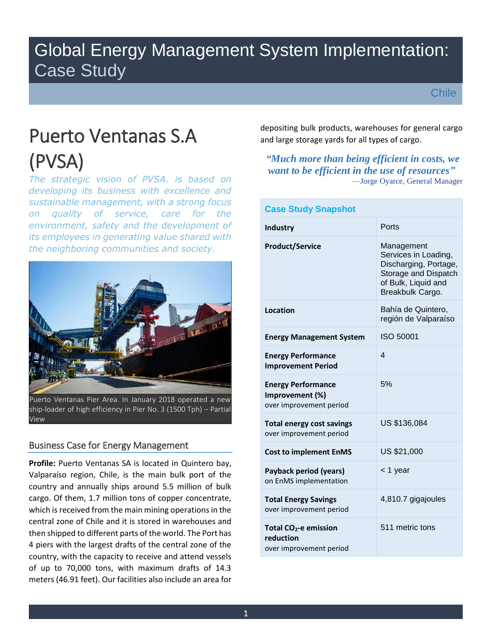# Global Energy Management System Implementation: Case Study

**Chile** 

# Puerto Ventanas S.A (PVSA)

*The strategic vision of PVSA. is based on developing its business with excellence and sustainable management, with a strong focus on quality of service, care for the environment, safety and the development of its employees in generating value shared with the neighboring communities and society.*



Puerto Ventanas Pier Area. In January 2018 operated a new ship-loader of high efficiency in Pier No. 3 (1500 Tph) – Partial View

### Business Case for Energy Management

**Profile:** Puerto Ventanas SA is located in Quintero bay, Valparaíso region, Chile, is the main bulk port of the country and annually ships around 5.5 million of bulk cargo. Of them, 1.7 million tons of copper concentrate, which is received from the main mining operations in the central zone of Chile and it is stored in warehouses and then shipped to different parts of the world. The Port has 4 piers with the largest drafts of the central zone of the country, with the capacity to receive and attend vessels of up to 70,000 tons, with maximum drafts of 14.3 meters (46.91 feet). Our facilities also include an area for depositing bulk products, warehouses for general cargo and large storage yards for all types of cargo.

#### *"Much more than being efficient in costs, we want to be efficient in the use of resources"* —Jorge Oyarce, General Manager

| <b>Case Study Snapshot</b>                                                |                                                                                                                                |  |
|---------------------------------------------------------------------------|--------------------------------------------------------------------------------------------------------------------------------|--|
| <b>Industry</b>                                                           | Ports                                                                                                                          |  |
| <b>Product/Service</b>                                                    | Management<br>Services in Loading,<br>Discharging, Portage,<br>Storage and Dispatch<br>of Bulk, Liquid and<br>Breakbulk Cargo. |  |
| Location                                                                  | Bahía de Quintero,<br>región de Valparaíso                                                                                     |  |
| <b>Energy Management System</b>                                           | <b>ISO 50001</b>                                                                                                               |  |
| <b>Energy Performance</b><br><b>Improvement Period</b>                    | 4                                                                                                                              |  |
| <b>Energy Performance</b><br>Improvement (%)<br>over improvement period   | 5%                                                                                                                             |  |
| <b>Total energy cost savings</b><br>over improvement period               | US \$136,084                                                                                                                   |  |
| <b>Cost to implement EnMS</b>                                             | US \$21,000                                                                                                                    |  |
| Payback period (years)<br>on EnMS implementation                          | < 1 year                                                                                                                       |  |
| <b>Total Energy Savings</b><br>over improvement period                    | 4,810.7 gigajoules                                                                                                             |  |
| Total CO <sub>2</sub> -e emission<br>reduction<br>over improvement period | 511 metric tons                                                                                                                |  |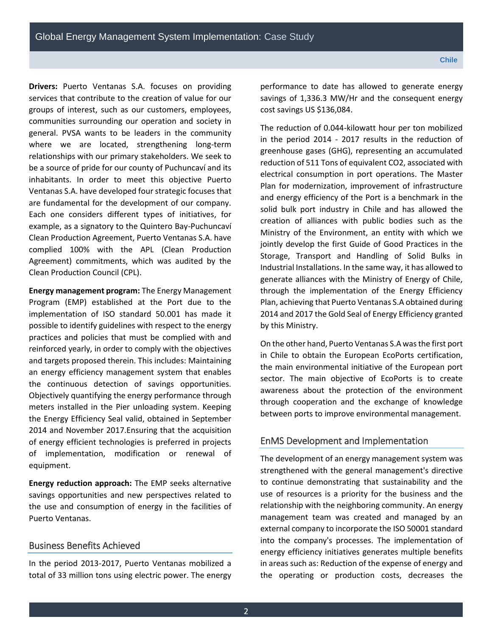**Drivers:** Puerto Ventanas S.A. focuses on providing services that contribute to the creation of value for our groups of interest, such as our customers, employees, communities surrounding our operation and society in general. PVSA wants to be leaders in the community where we are located, strengthening long-term relationships with our primary stakeholders. We seek to be a source of pride for our county of Puchuncaví and its inhabitants. In order to meet this objective Puerto Ventanas S.A. have developed four strategic focuses that are fundamental for the development of our company. Each one considers different types of initiatives, for example, as a signatory to the Quintero Bay-Puchuncaví Clean Production Agreement, Puerto Ventanas S.A. have complied 100% with the APL (Clean Production Agreement) commitments, which was audited by the Clean Production Council (CPL).

**Energy management program:** The Energy Management Program (EMP) established at the Port due to the implementation of ISO standard 50.001 has made it possible to identify guidelines with respect to the energy practices and policies that must be complied with and reinforced yearly, in order to comply with the objectives and targets proposed therein. This includes: Maintaining an energy efficiency management system that enables the continuous detection of savings opportunities. Objectively quantifying the energy performance through meters installed in the Pier unloading system. Keeping the Energy Efficiency Seal valid, obtained in September 2014 and November 2017.Ensuring that the acquisition of energy efficient technologies is preferred in projects of implementation, modification or renewal of equipment.

**Energy reduction approach:** The EMP seeks alternative savings opportunities and new perspectives related to the use and consumption of energy in the facilities of Puerto Ventanas.

#### Business Benefits Achieved

In the period 2013-2017, Puerto Ventanas mobilized a total of 33 million tons using electric power. The energy performance to date has allowed to generate energy savings of 1,336.3 MW/Hr and the consequent energy cost savings US \$136,084.

The reduction of 0.044-kilowatt hour per ton mobilized in the period 2014 - 2017 results in the reduction of greenhouse gases (GHG), representing an accumulated reduction of 511 Tons of equivalent CO2, associated with electrical consumption in port operations. The Master Plan for modernization, improvement of infrastructure and energy efficiency of the Port is a benchmark in the solid bulk port industry in Chile and has allowed the creation of alliances with public bodies such as the Ministry of the Environment, an entity with which we jointly develop the first Guide of Good Practices in the Storage, Transport and Handling of Solid Bulks in Industrial Installations. In the same way, it has allowed to generate alliances with the Ministry of Energy of Chile, through the implementation of the Energy Efficiency Plan, achieving that Puerto Ventanas S.A obtained during 2014 and 2017 the Gold Seal of Energy Efficiency granted by this Ministry.

On the other hand, Puerto Ventanas S.A was the first port in Chile to obtain the European EcoPorts certification, the main environmental initiative of the European port sector. The main objective of EcoPorts is to create awareness about the protection of the environment through cooperation and the exchange of knowledge between ports to improve environmental management.

#### EnMS Development and Implementation

The development of an energy management system was strengthened with the general management's directive to continue demonstrating that sustainability and the use of resources is a priority for the business and the relationship with the neighboring community. An energy management team was created and managed by an external company to incorporate the ISO 50001 standard into the company's processes. The implementation of energy efficiency initiatives generates multiple benefits in areas such as: Reduction of the expense of energy and the operating or production costs, decreases the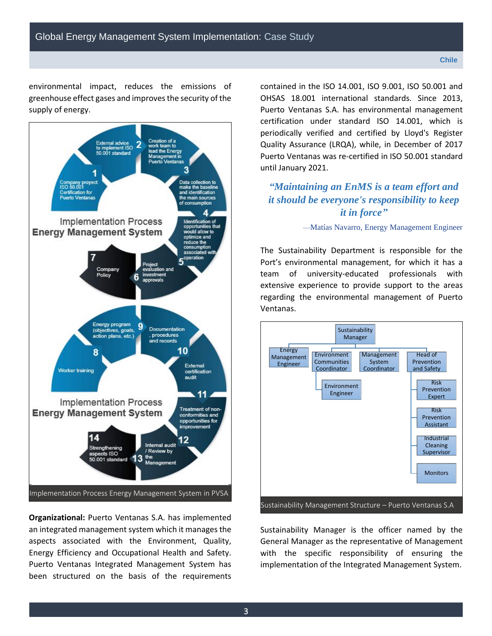environmental impact, reduces the emissions of greenhouse effect gases and improves the security of the supply of energy.



**Organizational:** Puerto Ventanas S.A. has implemented an integrated management system which it manages the aspects associated with the Environment, Quality, Energy Efficiency and Occupational Health and Safety. Puerto Ventanas Integrated Management System has been structured on the basis of the requirements contained in the ISO 14.001, ISO 9.001, ISO 50.001 and OHSAS 18.001 international standards. Since 2013, Puerto Ventanas S.A. has environmental management certification under standard ISO 14.001, which is periodically verified and certified by Lloyd's Register Quality Assurance (LRQA), while, in December of 2017 Puerto Ventanas was re-certified in ISO 50.001 standard until January 2021.

## *"Maintaining an EnMS is a team effort and it should be everyone's responsibility to keep it in force"*

—Matías Navarro, Energy Management Engineer

The Sustainability Department is responsible for the Port's environmental management, for which it has a team of university-educated professionals with extensive experience to provide support to the areas regarding the environmental management of Puerto Ventanas.



Sustainability Manager is the officer named by the General Manager as the representative of Management with the specific responsibility of ensuring the implementation of the Integrated Management System.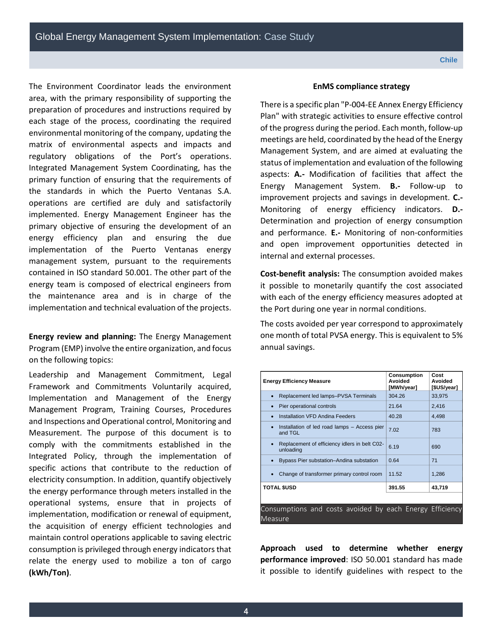The Environment Coordinator leads the environment area, with the primary responsibility of supporting the preparation of procedures and instructions required by each stage of the process, coordinating the required environmental monitoring of the company, updating the matrix of environmental aspects and impacts and regulatory obligations of the Port's operations. Integrated Management System Coordinating, has the primary function of ensuring that the requirements of the standards in which the Puerto Ventanas S.A. operations are certified are duly and satisfactorily implemented. Energy Management Engineer has the primary objective of ensuring the development of an energy efficiency plan and ensuring the due implementation of the Puerto Ventanas energy management system, pursuant to the requirements contained in ISO standard 50.001. The other part of the energy team is composed of electrical engineers from the maintenance area and is in charge of the implementation and technical evaluation of the projects.

**Energy review and planning:** The Energy Management Program (EMP) involve the entire organization, and focus on the following topics:

Leadership and Management Commitment, Legal Framework and Commitments Voluntarily acquired, Implementation and Management of the Energy Management Program, Training Courses, Procedures and Inspections and Operational control, Monitoring and Measurement. The purpose of this document is to comply with the commitments established in the Integrated Policy, through the implementation of specific actions that contribute to the reduction of electricity consumption. In addition, quantify objectively the energy performance through meters installed in the operational systems, ensure that in projects of implementation, modification or renewal of equipment, the acquisition of energy efficient technologies and maintain control operations applicable to saving electric consumption is privileged through energy indicators that relate the energy used to mobilize a ton of cargo **(kWh/Ton)**.

#### **EnMS compliance strategy**

There is a specific plan "P-004-EE Annex Energy Efficiency Plan" with strategic activities to ensure effective control of the progress during the period. Each month, follow-up meetings are held, coordinated by the head of the Energy Management System, and are aimed at evaluating the status of implementation and evaluation of the following aspects: **A.-** Modification of facilities that affect the Energy Management System. **B.-** Follow-up to improvement projects and savings in development. **C.-** Monitoring of energy efficiency indicators. **D.-** Determination and projection of energy consumption and performance. **E.-** Monitoring of non-conformities and open improvement opportunities detected in internal and external processes.

**Cost-benefit analysis:** The consumption avoided makes it possible to monetarily quantify the cost associated with each of the energy efficiency measures adopted at the Port during one year in normal conditions.

The costs avoided per year correspond to approximately one month of total PVSA energy. This is equivalent to 5% annual savings.

| <b>Energy Efficiency Measure</b>                           | <b>Consumption</b><br>Avoided<br>[MWh/year] | Cost<br>Avoided<br>[\$US/year] |
|------------------------------------------------------------|---------------------------------------------|--------------------------------|
| Replacement led lamps-PVSA Terminals<br>$\bullet$          | 304.26                                      | 33,975                         |
| Pier operational controls                                  | 21.64                                       | 2,416                          |
| Installation VFD Andina Feeders                            | 40.28                                       | 4,498                          |
| Installation of led road lamps - Access pier<br>and TGL    | 7.02                                        | 783                            |
| Replacement of efficiency idlers in belt C02-<br>unloading | 6.19                                        | 690                            |
| Bypass Pier substation-Andina substation                   | 0.64                                        | 71                             |
| Change of transformer primary control room                 | 11.52                                       | 1.286                          |
| <b>TOTAL SUSD</b>                                          | 391.55                                      | 43,719                         |
|                                                            |                                             |                                |
| Consumptions and costs avoided by each Energy Efficiency   |                                             |                                |

Measure

**Approach used to determine whether energy performance improved**: ISO 50.001 standard has made it possible to identify guidelines with respect to the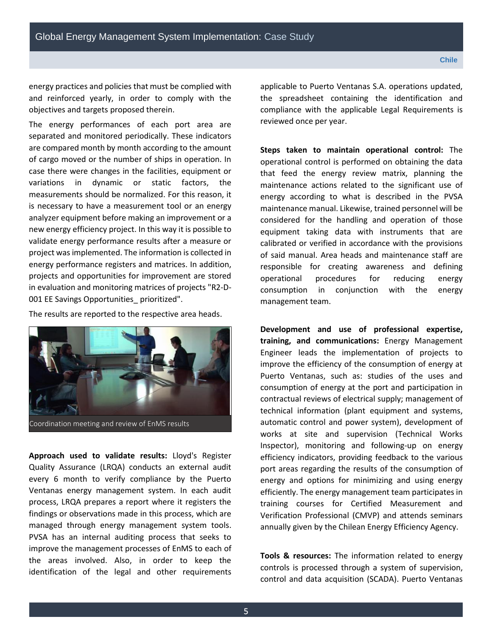energy practices and policies that must be complied with and reinforced yearly, in order to comply with the objectives and targets proposed therein.

The energy performances of each port area are separated and monitored periodically. These indicators are compared month by month according to the amount of cargo moved or the number of ships in operation. In case there were changes in the facilities, equipment or variations in dynamic or static factors, the measurements should be normalized. For this reason, it is necessary to have a measurement tool or an energy analyzer equipment before making an improvement or a new energy efficiency project. In this way it is possible to validate energy performance results after a measure or project was implemented. The information is collected in energy performance registers and matrices. In addition, projects and opportunities for improvement are stored in evaluation and monitoring matrices of projects "R2-D-001 EE Savings Opportunities\_ prioritized".

The results are reported to the respective area heads.



**Approach used to validate results:** Lloyd's Register Quality Assurance (LRQA) conducts an external audit every 6 month to verify compliance by the Puerto Ventanas energy management system. In each audit process, LRQA prepares a report where it registers the findings or observations made in this process, which are

managed through energy management system tools. PVSA has an internal auditing process that seeks to improve the management processes of EnMS to each of the areas involved. Also, in order to keep the identification of the legal and other requirements

applicable to Puerto Ventanas S.A. operations updated, the spreadsheet containing the identification and compliance with the applicable Legal Requirements is reviewed once per year.

**Steps taken to maintain operational control:** The operational control is performed on obtaining the data that feed the energy review matrix, planning the maintenance actions related to the significant use of energy according to what is described in the PVSA maintenance manual. Likewise, trained personnel will be considered for the handling and operation of those equipment taking data with instruments that are calibrated or verified in accordance with the provisions of said manual. Area heads and maintenance staff are responsible for creating awareness and defining operational procedures for reducing energy consumption in conjunction with the energy management team.

**Development and use of professional expertise, training, and communications:** Energy Management Engineer leads the implementation of projects to improve the efficiency of the consumption of energy at Puerto Ventanas, such as: studies of the uses and consumption of energy at the port and participation in contractual reviews of electrical supply; management of technical information (plant equipment and systems, automatic control and power system), development of works at site and supervision (Technical Works Inspector), monitoring and following-up on energy efficiency indicators, providing feedback to the various port areas regarding the results of the consumption of energy and options for minimizing and using energy efficiently. The energy management team participates in training courses for Certified Measurement and Verification Professional (CMVP) and attends seminars annually given by the Chilean Energy Efficiency Agency.

**Tools & resources:** The information related to energy controls is processed through a system of supervision, control and data acquisition (SCADA). Puerto Ventanas